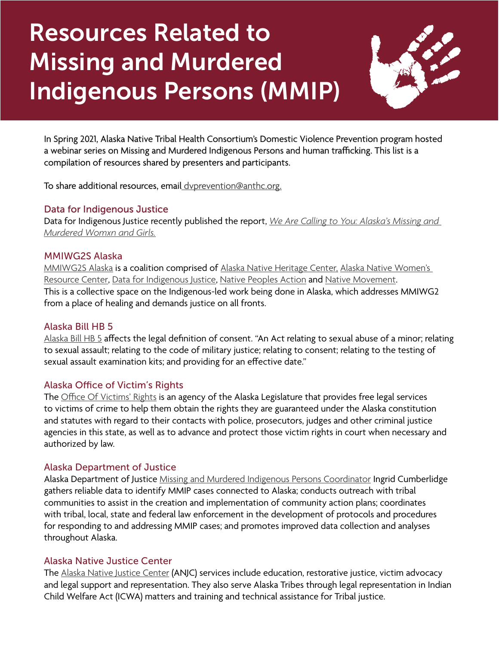# Resources Related to Missing and Murdered Indigenous Persons (MMIP)



In Spring 2021, Alaska Native Tribal Health Consortium's Domestic Violence Prevention program hosted a webinar series on Missing and Murdered Indigenous Persons and human trafficking. This list is a compilation of resources shared by presenters and participants.

To share additional resources, email [dvprevention@anthc.org.](mailto:%20dvprevention%40anthc.org.?subject=)

#### Data for Indigenous Justice

Data for Indigenous Justice recently published the report, *[We Are Calling to You: Alaska's Missing and](https://dataforindigenousjustice.com/we-are-calling-to-you/)  [Murdered Womxn and Girls.](https://dataforindigenousjustice.com/we-are-calling-to-you/)*

#### MMIWG2S Alaska

[MMIWG2S Alaska](https://www.facebook.com/MMIWG2SAlaska/) is a coalition comprised of [Alaska Native Heritage Center,](https://www.alaskanative.net/) [Alaska Native Women's](https://www.aknwrc.org/)  [Resource Center](https://www.aknwrc.org/), [Data for Indigenous Justice](https://dataforindigenousjustice.com/), [Native Peoples Action](https://nativepeoplesaction.org/) and [Native Movement](https://www.nativemovement.org/). This is a collective space on the Indigenous-led work being done in Alaska, which addresses MMIWG2 from a place of healing and demands justice on all fronts.

#### Alaska Bill HB 5

[Alaska Bill HB 5](https://www.akleg.gov/basis/Bill/Detail/32?Root=HB%20%20%205#tab6_4) affects the legal definition of consent. "An Act relating to sexual abuse of a minor; relating to sexual assault; relating to the code of military justice; relating to consent; relating to the testing of sexual assault examination kits; and providing for an effective date."

#### Alaska Office of Victim's Rights

The [Office Of Victims' Rights](https://ovr.akleg.gov/) is an agency of the Alaska Legislature that provides free legal services to victims of crime to help them obtain the rights they are guaranteed under the Alaska constitution and statutes with regard to their contacts with police, prosecutors, judges and other criminal justice agencies in this state, as well as to advance and protect those victim rights in court when necessary and authorized by law.

#### Alaska Department of Justice

Alaska Department of Justice [Missing and Murdered Indigenous Persons Coordinator](https://www.justice.gov/usao-ak/pr/us-attorney-appoints-missing-and-murdered-indigenous-persons-coordinator-alaska) Ingrid Cumberlidge gathers reliable data to identify MMIP cases connected to Alaska; conducts outreach with tribal communities to assist in the creation and implementation of community action plans; coordinates with tribal, local, state and federal law enforcement in the development of protocols and procedures for responding to and addressing MMIP cases; and promotes improved data collection and analyses throughout Alaska.

#### Alaska Native Justice Center

The [Alaska Native Justice Center](https://anjc.org/) (ANJC) services include education, restorative justice, victim advocacy and legal support and representation. They also serve Alaska Tribes through legal representation in Indian Child Welfare Act (ICWA) matters and training and technical assistance for Tribal justice.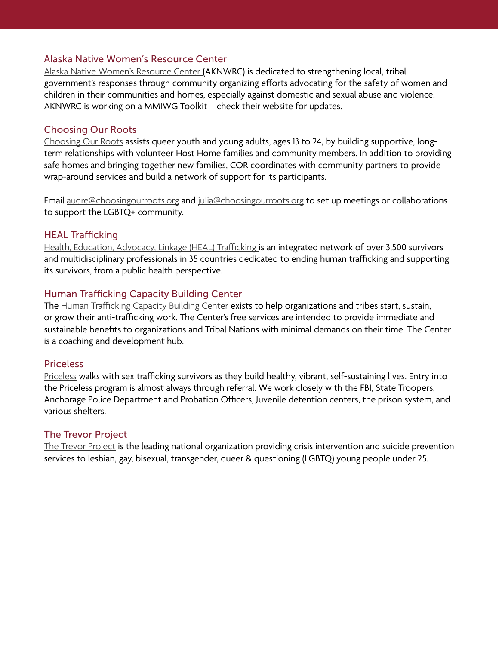#### Alaska Native Women's Resource Center

[Alaska Native Women's Resource Center](https://www.aknwrc.org/) (AKNWRC) is dedicated to strengthening local, tribal government's responses through community organizing efforts advocating for the safety of women and children in their communities and homes, especially against domestic and sexual abuse and violence. AKNWRC is working on a MMIWG Toolkit – check their website for updates.

#### Choosing Our Roots

[Choosing Our Roots](http://www.choosingourroots.org/) assists queer youth and young adults, ages 13 to 24, by building supportive, longterm relationships with volunteer Host Home families and community members. In addition to providing safe homes and bringing together new families, COR coordinates with community partners to provide wrap-around services and build a network of support for its participants.

Email [audre@choosingourroots.org](mailto:audre%40choosingourroots.org?subject=) and [julia@choosingourroots.org](mailto:julia%40choosingourroots.org?subject=) to set up meetings or collaborations to support the LGBTQ+ community.

#### HEAL Trafficking

[Health, Education, Advocacy, Linkage \(HEAL\) Trafficking](https://healtrafficking.org/) is an integrated network of over 3,500 survivors and multidisciplinary professionals in 35 countries dedicated to ending human trafficking and supporting its survivors, from a public health perspective.

#### Human Trafficking Capacity Building Center

The [Human Trafficking Capacity Building Center](https://htcbc.ovc.ojp.gov/) exists to help organizations and tribes start, sustain, or grow their anti-trafficking work. The Center's free services are intended to provide immediate and sustainable benefits to organizations and Tribal Nations with minimal demands on their time. The Center is a coaching and development hub.

#### Priceless

[Priceless](https://www.pricelessalaska.org/) walks with sex trafficking survivors as they build healthy, vibrant, self-sustaining lives. Entry into the Priceless program is almost always through referral. We work closely with the FBI, State Troopers, Anchorage Police Department and Probation Officers, Juvenile detention centers, the prison system, and various shelters.

#### The Trevor Project

[The Trevor Project](https://www.thetrevorproject.org/) is the leading national organization providing crisis intervention and suicide prevention services to lesbian, gay, bisexual, transgender, queer & questioning (LGBTQ) young people under 25.